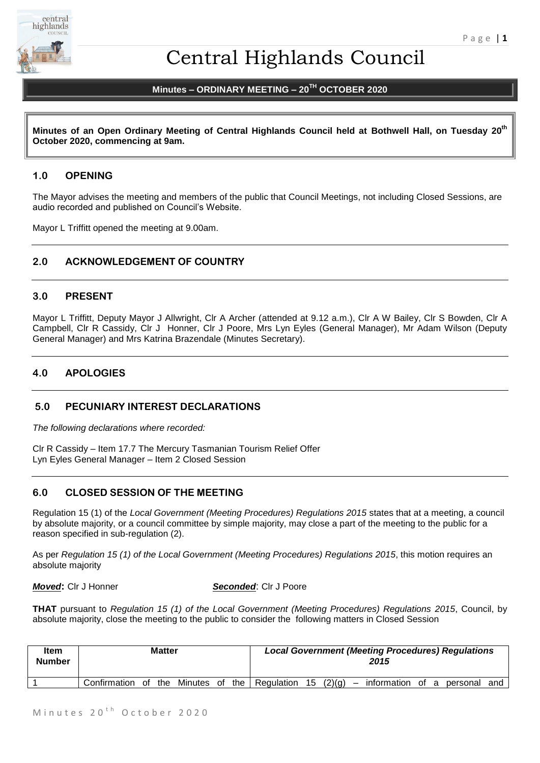

# Central Highlands Council

# **Minutes – ORDINARY MEETING – 20TH OCTOBER 2020**

**Minutes of an Open Ordinary Meeting of Central Highlands Council held at Bothwell Hall, on Tuesday 20th October 2020, commencing at 9am.**

## **1.0 OPENING**

The Mayor advises the meeting and members of the public that Council Meetings, not including Closed Sessions, are audio recorded and published on Council's Website.

Mayor L Triffitt opened the meeting at 9.00am.

# **2.0 ACKNOWLEDGEMENT OF COUNTRY**

#### **3.0 PRESENT**

Mayor L Triffitt, Deputy Mayor J Allwright, Clr A Archer (attended at 9.12 a.m.), Clr A W Bailey, Clr S Bowden, Clr A Campbell, Clr R Cassidy, Clr J Honner, Clr J Poore, Mrs Lyn Eyles (General Manager), Mr Adam Wilson (Deputy General Manager) and Mrs Katrina Brazendale (Minutes Secretary).

# **4.0 APOLOGIES**

#### **5.0 PECUNIARY INTEREST DECLARATIONS**

*The following declarations where recorded:* 

Clr R Cassidy – Item 17.7 The Mercury Tasmanian Tourism Relief Offer Lyn Eyles General Manager – Item 2 Closed Session

# **6.0 CLOSED SESSION OF THE MEETING**

Regulation 15 (1) of the *Local Government (Meeting Procedures) Regulations 2015* states that at a meeting, a council by absolute majority, or a council committee by simple majority, may close a part of the meeting to the public for a reason specified in sub-regulation (2).

As per *Regulation 15 (1) of the Local Government (Meeting Procedures) Regulations 2015*, this motion requires an absolute majority

#### *Moved***:** Clr J Honner *Seconded*: Clr J Poore

**THAT** pursuant to *Regulation 15 (1) of the Local Government (Meeting Procedures) Regulations 2015*, Council, by absolute majority, close the meeting to the public to consider the following matters in Closed Session

| <b>Item</b><br>Number | <b>Matter</b>                                             |  |  |  |  | <b>Local Government (Meeting Procedures) Regulations</b><br>2015 |  |        |                  |  |          |     |
|-----------------------|-----------------------------------------------------------|--|--|--|--|------------------------------------------------------------------|--|--------|------------------|--|----------|-----|
|                       | Confirmation of the Minutes of the Regulation 15 $(2)(g)$ |  |  |  |  |                                                                  |  | $\sim$ | information of a |  | personal | and |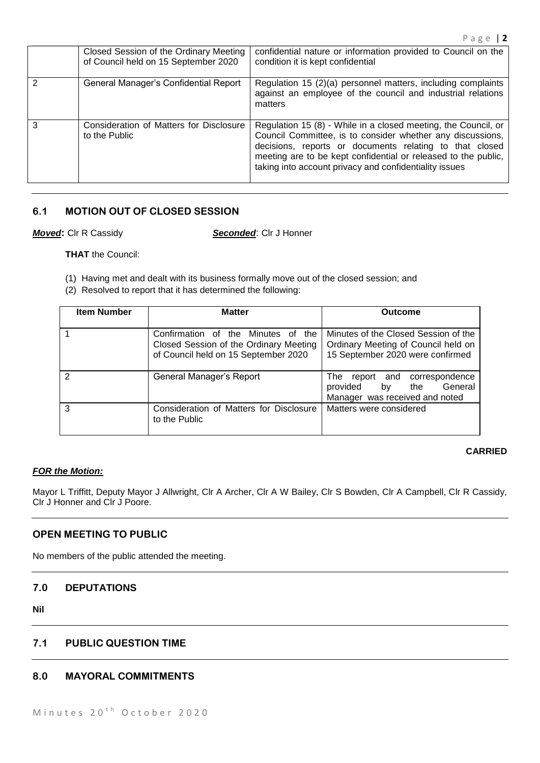| Closed Session of the Ordinary Meeting<br>of Council held on 15 September 2020 | confidential nature or information provided to Council on the<br>condition it is kept confidential                                                                                                                                                                                                                  |
|--------------------------------------------------------------------------------|---------------------------------------------------------------------------------------------------------------------------------------------------------------------------------------------------------------------------------------------------------------------------------------------------------------------|
| General Manager's Confidential Report                                          | Regulation 15 (2)(a) personnel matters, including complaints<br>against an employee of the council and industrial relations<br>matters                                                                                                                                                                              |
| Consideration of Matters for Disclosure<br>to the Public                       | Regulation 15 (8) - While in a closed meeting, the Council, or<br>Council Committee, is to consider whether any discussions,<br>decisions, reports or documents relating to that closed<br>meeting are to be kept confidential or released to the public,<br>taking into account privacy and confidentiality issues |

## **6.1 MOTION OUT OF CLOSED SESSION**

*Moved***:** Clr R Cassidy *Seconded*: Clr J Honner

#### **THAT** the Council:

- (1) Having met and dealt with its business formally move out of the closed session; and
- (2) Resolved to report that it has determined the following:

| <b>Item Number</b> | <b>Matter</b>                                                                                                        | Outcome                                                                                                         |
|--------------------|----------------------------------------------------------------------------------------------------------------------|-----------------------------------------------------------------------------------------------------------------|
|                    | Confirmation of the Minutes of the<br>Closed Session of the Ordinary Meeting<br>of Council held on 15 September 2020 | Minutes of the Closed Session of the<br>Ordinary Meeting of Council held on<br>15 September 2020 were confirmed |
| 2                  | General Manager's Report                                                                                             | The report and<br>correspondence<br>provided<br>the General<br>by<br>Manager was received and noted             |
| 3                  | Consideration of Matters for Disclosure<br>to the Public                                                             | Matters were considered                                                                                         |

#### **CARRIED**

P a g e | **2**

#### *FOR the Motion:*

Mayor L Triffitt, Deputy Mayor J Allwright, Clr A Archer, Clr A W Bailey, Clr S Bowden, Clr A Campbell, Clr R Cassidy, Clr J Honner and Clr J Poore.

# **OPEN MEETING TO PUBLIC**

No members of the public attended the meeting.

#### **7.0 DEPUTATIONS**

**Nil**

# **7.1 PUBLIC QUESTION TIME**

# **8.0 MAYORAL COMMITMENTS**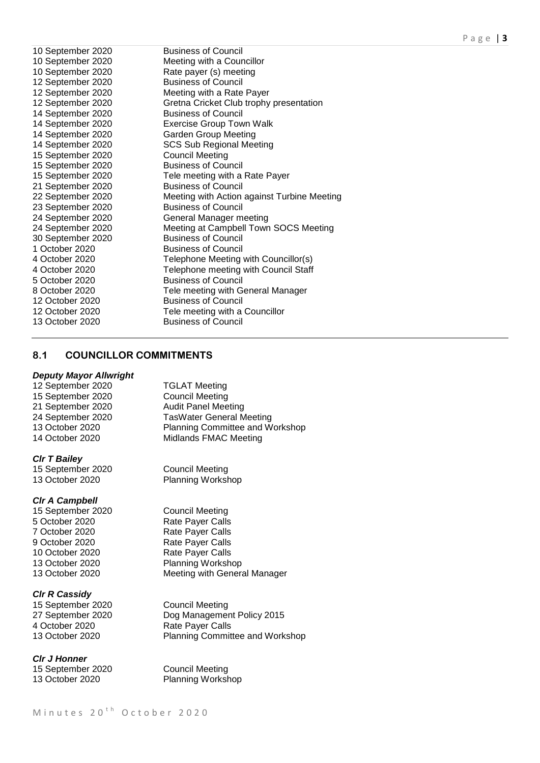| 10 September 2020 | <b>Business of Council</b>                  |
|-------------------|---------------------------------------------|
| 10 September 2020 | Meeting with a Councillor                   |
| 10 September 2020 | Rate payer (s) meeting                      |
| 12 September 2020 | <b>Business of Council</b>                  |
| 12 September 2020 | Meeting with a Rate Payer                   |
| 12 September 2020 | Gretna Cricket Club trophy presentation     |
| 14 September 2020 | <b>Business of Council</b>                  |
| 14 September 2020 | <b>Exercise Group Town Walk</b>             |
| 14 September 2020 | <b>Garden Group Meeting</b>                 |
| 14 September 2020 | <b>SCS Sub Regional Meeting</b>             |
| 15 September 2020 | <b>Council Meeting</b>                      |
| 15 September 2020 | <b>Business of Council</b>                  |
| 15 September 2020 | Tele meeting with a Rate Payer              |
| 21 September 2020 | <b>Business of Council</b>                  |
| 22 September 2020 | Meeting with Action against Turbine Meeting |
| 23 September 2020 | <b>Business of Council</b>                  |
| 24 September 2020 | General Manager meeting                     |
| 24 September 2020 | Meeting at Campbell Town SOCS Meeting       |
| 30 September 2020 | <b>Business of Council</b>                  |
| 1 October 2020    | <b>Business of Council</b>                  |
| 4 October 2020    | Telephone Meeting with Councillor(s)        |
| 4 October 2020    | Telephone meeting with Council Staff        |
| 5 October 2020    | <b>Business of Council</b>                  |
| 8 October 2020    | Tele meeting with General Manager           |
| 12 October 2020   | <b>Business of Council</b>                  |
| 12 October 2020   | Tele meeting with a Councillor              |
| 13 October 2020   | <b>Business of Council</b>                  |
|                   |                                             |

# **8.1 COUNCILLOR COMMITMENTS**

#### *Deputy Mayor Allwright*

12 September 2020 TGLAT Meeting<br>15 September 2020 Council Meeting 15 September 2020

21 September 2020 Audit Panel Meeting 24 September 2020 TasWater General Meeting 13 October 2020 Planning Committee and Workshop 14 October 2020 Midlands FMAC Meeting

# *Clr T Bailey* 15 September 2020 Council Meeting

#### *Clr A Campbell*

15 September 2020 Council Meeting<br>5 October 2020 Rate Paver Calls 7 October 2020 Rate Payer Calls 9 October 2020 Rate Payer Calls<br>10 October 2020 Rate Payer Calls 10 October 2020 Rate Payer Calls<br>13 October 2020 Planning Worksh

#### *Clr R Cassidy*

15 September 2020 Council Meeting 4 October 2020 Rate Payer Calls

#### *Clr J Honner*

15 September 2020 Council Meeting 13 October 2020 Planning Workshop

13 October 2020 Planning Workshop

Rate Payer Calls Planning Workshop 13 October 2020 Meeting with General Manager

27 September 2020 Dog Management Policy 2015 13 October 2020 Planning Committee and Workshop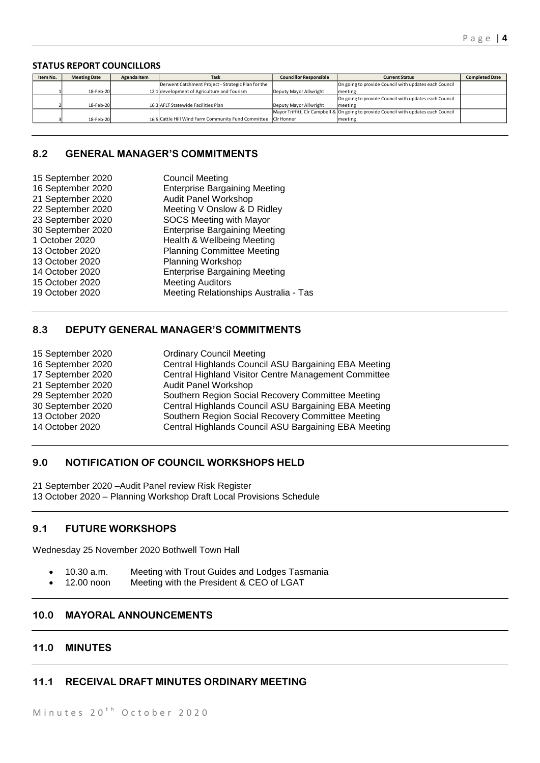#### **STATUS REPORT COUNCILLORS**

| Item No. | <b>Meeting Date</b><br>Agenda Item |  | <b>Task</b>                                                    | <b>Councillor Responsible</b> | <b>Current Status</b>                                                                | <b>Completed Date</b> |
|----------|------------------------------------|--|----------------------------------------------------------------|-------------------------------|--------------------------------------------------------------------------------------|-----------------------|
|          |                                    |  | Derwent Catchment Project - Strategic Plan for the             |                               | On going to provide Council with updates each Council                                |                       |
|          | 18-Feb-20                          |  | 12.1 development of Agriculture and Tourism                    | Deputy Mayor Allwright        | meeting                                                                              |                       |
|          |                                    |  |                                                                |                               | On going to provide Council with updates each Council                                |                       |
|          | 18-Feb-20                          |  | 16.3 AFLT Statewide Facilities Plan                            | Deputy Mayor Allwright        | meeting                                                                              |                       |
|          |                                    |  |                                                                |                               | Mayor Triffitt, CIr Campbell & On going to provide Council with updates each Council |                       |
|          | 18-Feb-20                          |  | 16.5 Cattle Hill Wind Farm Community Fund Committee CIr Honner |                               | meeting                                                                              |                       |
|          |                                    |  |                                                                |                               |                                                                                      |                       |

# **8.2 GENERAL MANAGER'S COMMITMENTS**

| 15 September 2020 | <b>Council Meeting</b>                |
|-------------------|---------------------------------------|
| 16 September 2020 | <b>Enterprise Bargaining Meeting</b>  |
| 21 September 2020 | <b>Audit Panel Workshop</b>           |
| 22 September 2020 | Meeting V Onslow & D Ridley           |
| 23 September 2020 | <b>SOCS Meeting with Mayor</b>        |
| 30 September 2020 | <b>Enterprise Bargaining Meeting</b>  |
| 1 October 2020    | Health & Wellbeing Meeting            |
| 13 October 2020   | <b>Planning Committee Meeting</b>     |
| 13 October 2020   | <b>Planning Workshop</b>              |
| 14 October 2020   | <b>Enterprise Bargaining Meeting</b>  |
| 15 October 2020   | <b>Meeting Auditors</b>               |
| 19 October 2020   | Meeting Relationships Australia - Tas |
|                   |                                       |

# **8.3 DEPUTY GENERAL MANAGER'S COMMITMENTS**

| 15 September 2020 | <b>Ordinary Council Meeting</b>                      |
|-------------------|------------------------------------------------------|
| 16 September 2020 | Central Highlands Council ASU Bargaining EBA Meeting |
| 17 September 2020 | Central Highland Visitor Centre Management Committee |
| 21 September 2020 | Audit Panel Workshop                                 |
| 29 September 2020 | Southern Region Social Recovery Committee Meeting    |
| 30 September 2020 | Central Highlands Council ASU Bargaining EBA Meeting |
| 13 October 2020   | Southern Region Social Recovery Committee Meeting    |
| 14 October 2020   | Central Highlands Council ASU Bargaining EBA Meeting |

# **9.0 NOTIFICATION OF COUNCIL WORKSHOPS HELD**

21 September 2020 –Audit Panel review Risk Register 13 October 2020 – Planning Workshop Draft Local Provisions Schedule

#### **9.1 FUTURE WORKSHOPS**

Wednesday 25 November 2020 Bothwell Town Hall

- 10.30 a.m. Meeting with Trout Guides and Lodges Tasmania
- 12.00 noon Meeting with the President & CEO of LGAT

# **10.0 MAYORAL ANNOUNCEMENTS**

#### **11.0 MINUTES**

# **11.1 RECEIVAL DRAFT MINUTES ORDINARY MEETING**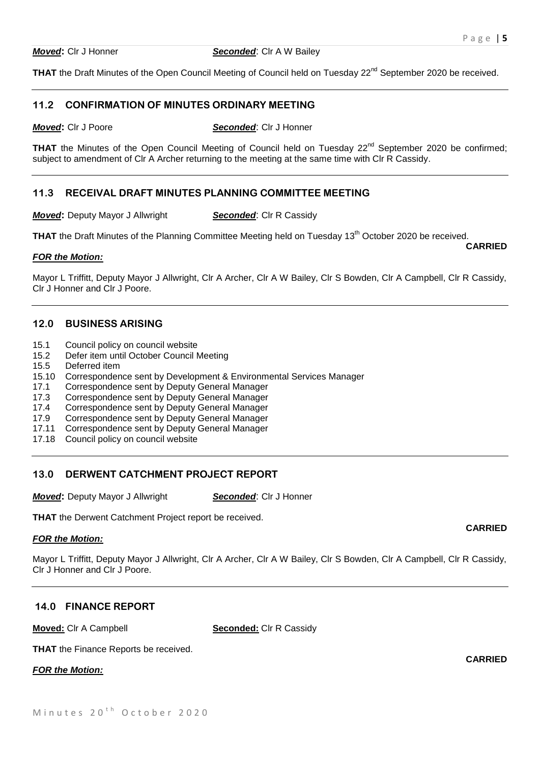#### *Moved***:** Cir J Honner **Seconded**: Cir A W Bailey

**THAT** the Draft Minutes of the Open Council Meeting of Council held on Tuesday 22<sup>nd</sup> September 2020 be received.

## **11.2 CONFIRMATION OF MINUTES ORDINARY MEETING**

*Moved***:** Clr J Poore *Seconded*: Clr J Honner

THAT the Minutes of the Open Council Meeting of Council held on Tuesday 22<sup>nd</sup> September 2020 be confirmed; subject to amendment of Clr A Archer returning to the meeting at the same time with Clr R Cassidy.

#### **11.3 RECEIVAL DRAFT MINUTES PLANNING COMMITTEE MEETING**

*Moved:* Deputy Mayor J Allwright **Seconded:** Clr R Cassidy

**THAT** the Draft Minutes of the Planning Committee Meeting held on Tuesday 13<sup>th</sup> October 2020 be received.

#### *FOR the Motion:*

Mayor L Triffitt, Deputy Mayor J Allwright, Clr A Archer, Clr A W Bailey, Clr S Bowden, Clr A Campbell, Clr R Cassidy, Clr J Honner and Clr J Poore.

## **12.0 BUSINESS ARISING**

- 15.1 Council policy on council website
- 15.2 Defer item until October Council Meeting
- 15.5 Deferred item
- 15.10 Correspondence sent by Development & Environmental Services Manager
- 17.1 Correspondence sent by Deputy General Manager
- 17.3 Correspondence sent by Deputy General Manager
- 17.4 Correspondence sent by Deputy General Manager
- 17.9 Correspondence sent by Deputy General Manager
- 17.11 Correspondence sent by Deputy General Manager
- 17.18 Council policy on council website

#### **13.0 DERWENT CATCHMENT PROJECT REPORT**

*Moved***:** Deputy Mayor J Allwright *Seconded*: Clr J Honner

**THAT** the Derwent Catchment Project report be received.

#### *FOR the Motion:*

Mayor L Triffitt, Deputy Mayor J Allwright, Clr A Archer, Clr A W Bailey, Clr S Bowden, Clr A Campbell, Clr R Cassidy, Clr J Honner and Clr J Poore.

#### **14.0 FINANCE REPORT**

**Moved:** Clr A Campbell **Seconded:** Clr R Cassidy

**THAT** the Finance Reports be received.

#### *FOR the Motion:*

**CARRIED**

**CARRIED**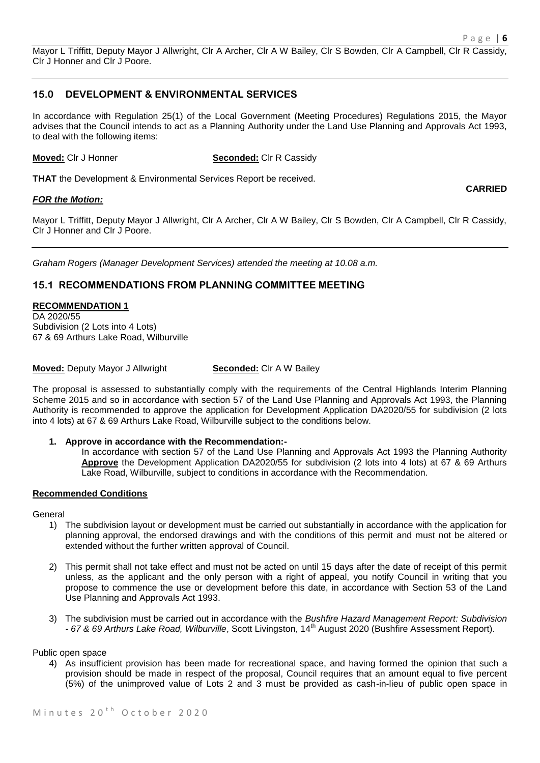Mayor L Triffitt, Deputy Mayor J Allwright, Clr A Archer, Clr A W Bailey, Clr S Bowden, Clr A Campbell, Clr R Cassidy, Clr J Honner and Clr J Poore.

# **15.0 DEVELOPMENT & ENVIRONMENTAL SERVICES**

In accordance with Regulation 25(1) of the Local Government (Meeting Procedures) Regulations 2015, the Mayor advises that the Council intends to act as a Planning Authority under the Land Use Planning and Approvals Act 1993, to deal with the following items:

**Moved:** Clr J Honner **Seconded:** Clr R Cassidy

**THAT** the Development & Environmental Services Report be received.

#### *FOR the Motion:*

**CARRIED**

Mayor L Triffitt, Deputy Mayor J Allwright, Clr A Archer, Clr A W Bailey, Clr S Bowden, Clr A Campbell, Clr R Cassidy, Clr J Honner and Clr J Poore.

*Graham Rogers (Manager Development Services) attended the meeting at 10.08 a.m.*

# **15.1 RECOMMENDATIONS FROM PLANNING COMMITTEE MEETING**

#### **RECOMMENDATION 1**

DA 2020/55 Subdivision (2 Lots into 4 Lots) 67 & 69 Arthurs Lake Road, Wilburville

**Moved:** Deputy Mayor J Allwright **Seconded:** Clr A W Bailey

The proposal is assessed to substantially comply with the requirements of the Central Highlands Interim Planning Scheme 2015 and so in accordance with section 57 of the Land Use Planning and Approvals Act 1993, the Planning Authority is recommended to approve the application for Development Application DA2020/55 for subdivision (2 lots into 4 lots) at 67 & 69 Arthurs Lake Road, Wilburville subject to the conditions below.

#### **1. Approve in accordance with the Recommendation:-**

In accordance with section 57 of the Land Use Planning and Approvals Act 1993 the Planning Authority **Approve** the Development Application DA2020/55 for subdivision (2 lots into 4 lots) at 67 & 69 Arthurs Lake Road, Wilburville, subject to conditions in accordance with the Recommendation.

#### **Recommended Conditions**

#### General

- 1) The subdivision layout or development must be carried out substantially in accordance with the application for planning approval, the endorsed drawings and with the conditions of this permit and must not be altered or extended without the further written approval of Council.
- 2) This permit shall not take effect and must not be acted on until 15 days after the date of receipt of this permit unless, as the applicant and the only person with a right of appeal, you notify Council in writing that you propose to commence the use or development before this date, in accordance with Section 53 of the Land Use Planning and Approvals Act 1993.
- 3) The subdivision must be carried out in accordance with the *Bushfire Hazard Management Report: Subdivision - 67 & 69 Arthurs Lake Road, Wilburville*, Scott Livingston, 14th August 2020 (Bushfire Assessment Report).

#### Public open space

4) As insufficient provision has been made for recreational space, and having formed the opinion that such a provision should be made in respect of the proposal, Council requires that an amount equal to five percent (5%) of the unimproved value of Lots 2 and 3 must be provided as cash-in-lieu of public open space in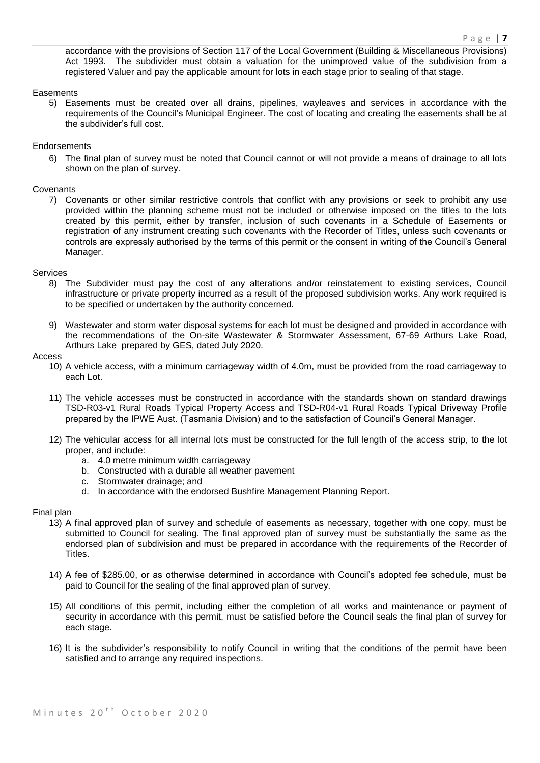accordance with the provisions of Section 117 of the Local Government (Building & Miscellaneous Provisions) Act 1993. The subdivider must obtain a valuation for the unimproved value of the subdivision from a registered Valuer and pay the applicable amount for lots in each stage prior to sealing of that stage.

#### **Easements**

5) Easements must be created over all drains, pipelines, wayleaves and services in accordance with the requirements of the Council's Municipal Engineer. The cost of locating and creating the easements shall be at the subdivider's full cost.

#### **Endorsements**

6) The final plan of survey must be noted that Council cannot or will not provide a means of drainage to all lots shown on the plan of survey.

#### **Covenants**

7) Covenants or other similar restrictive controls that conflict with any provisions or seek to prohibit any use provided within the planning scheme must not be included or otherwise imposed on the titles to the lots created by this permit, either by transfer, inclusion of such covenants in a Schedule of Easements or registration of any instrument creating such covenants with the Recorder of Titles, unless such covenants or controls are expressly authorised by the terms of this permit or the consent in writing of the Council's General Manager.

#### Services

- 8) The Subdivider must pay the cost of any alterations and/or reinstatement to existing services, Council infrastructure or private property incurred as a result of the proposed subdivision works. Any work required is to be specified or undertaken by the authority concerned.
- 9) Wastewater and storm water disposal systems for each lot must be designed and provided in accordance with the recommendations of the On-site Wastewater & Stormwater Assessment, 67-69 Arthurs Lake Road, Arthurs Lake prepared by GES, dated July 2020.

#### Access

- 10) A vehicle access, with a minimum carriageway width of 4.0m, must be provided from the road carriageway to each Lot.
- 11) The vehicle accesses must be constructed in accordance with the standards shown on standard drawings TSD-R03-v1 Rural Roads Typical Property Access and TSD-R04-v1 Rural Roads Typical Driveway Profile prepared by the IPWE Aust. (Tasmania Division) and to the satisfaction of Council's General Manager.
- 12) The vehicular access for all internal lots must be constructed for the full length of the access strip, to the lot proper, and include:
	- a. 4.0 metre minimum width carriageway
	- b. Constructed with a durable all weather pavement
	- c. Stormwater drainage; and
	- d. In accordance with the endorsed Bushfire Management Planning Report.

#### Final plan

- 13) A final approved plan of survey and schedule of easements as necessary, together with one copy, must be submitted to Council for sealing. The final approved plan of survey must be substantially the same as the endorsed plan of subdivision and must be prepared in accordance with the requirements of the Recorder of Titles.
- 14) A fee of \$285.00, or as otherwise determined in accordance with Council's adopted fee schedule, must be paid to Council for the sealing of the final approved plan of survey.
- 15) All conditions of this permit, including either the completion of all works and maintenance or payment of security in accordance with this permit, must be satisfied before the Council seals the final plan of survey for each stage.
- 16) It is the subdivider's responsibility to notify Council in writing that the conditions of the permit have been satisfied and to arrange any required inspections.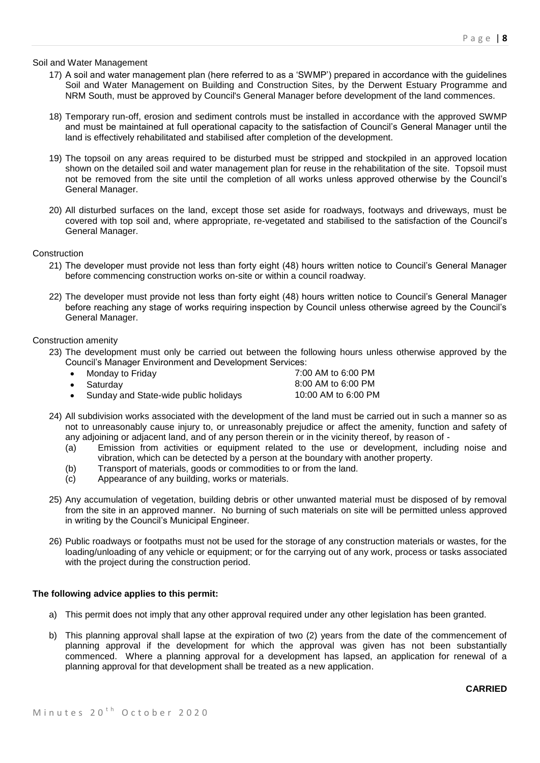#### Soil and Water Management

- 17) A soil and water management plan (here referred to as a 'SWMP') prepared in accordance with the guidelines Soil and Water Management on Building and Construction Sites, by the Derwent Estuary Programme and NRM South, must be approved by Council's General Manager before development of the land commences.
- 18) Temporary run-off, erosion and sediment controls must be installed in accordance with the approved SWMP and must be maintained at full operational capacity to the satisfaction of Council's General Manager until the land is effectively rehabilitated and stabilised after completion of the development.
- 19) The topsoil on any areas required to be disturbed must be stripped and stockpiled in an approved location shown on the detailed soil and water management plan for reuse in the rehabilitation of the site. Topsoil must not be removed from the site until the completion of all works unless approved otherwise by the Council's General Manager.
- 20) All disturbed surfaces on the land, except those set aside for roadways, footways and driveways, must be covered with top soil and, where appropriate, re-vegetated and stabilised to the satisfaction of the Council's General Manager.

#### **Construction**

- 21) The developer must provide not less than forty eight (48) hours written notice to Council's General Manager before commencing construction works on-site or within a council roadway.
- 22) The developer must provide not less than forty eight (48) hours written notice to Council's General Manager before reaching any stage of works requiring inspection by Council unless otherwise agreed by the Council's General Manager.

#### Construction amenity

23) The development must only be carried out between the following hours unless otherwise approved by the Council's Manager Environment and Development Services:

| • Monday to Friday                      | 7:00 AM to 6:00 PM  |
|-----------------------------------------|---------------------|
| • Saturday                              | 8:00 AM to 6:00 PM  |
| • Sunday and State-wide public holidays | 10:00 AM to 6:00 PM |

- 24) All subdivision works associated with the development of the land must be carried out in such a manner so as not to unreasonably cause injury to, or unreasonably prejudice or affect the amenity, function and safety of any adjoining or adjacent land, and of any person therein or in the vicinity thereof, by reason of -
	- (a) Emission from activities or equipment related to the use or development, including noise and vibration, which can be detected by a person at the boundary with another property.
	- (b) Transport of materials, goods or commodities to or from the land.
	- (c) Appearance of any building, works or materials.
- 25) Any accumulation of vegetation, building debris or other unwanted material must be disposed of by removal from the site in an approved manner. No burning of such materials on site will be permitted unless approved in writing by the Council's Municipal Engineer.
- 26) Public roadways or footpaths must not be used for the storage of any construction materials or wastes, for the loading/unloading of any vehicle or equipment; or for the carrying out of any work, process or tasks associated with the project during the construction period.

#### **The following advice applies to this permit:**

- a) This permit does not imply that any other approval required under any other legislation has been granted.
- b) This planning approval shall lapse at the expiration of two (2) years from the date of the commencement of planning approval if the development for which the approval was given has not been substantially commenced. Where a planning approval for a development has lapsed, an application for renewal of a planning approval for that development shall be treated as a new application.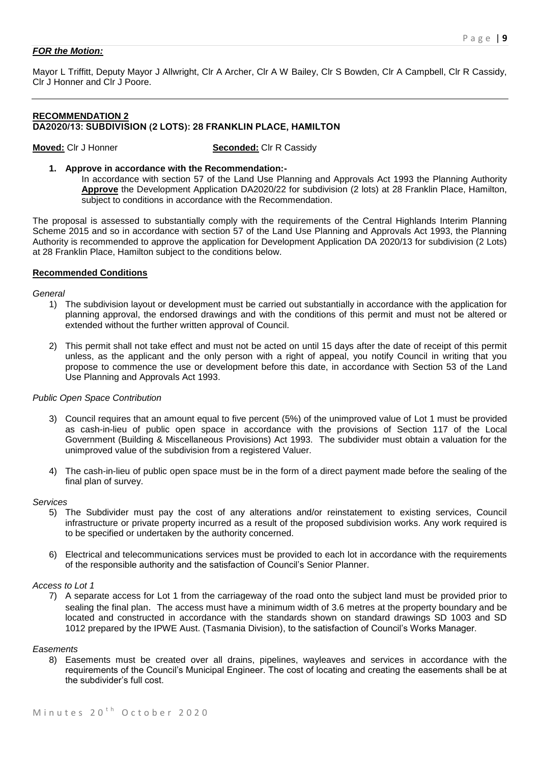### *FOR the Motion:*

Mayor L Triffitt, Deputy Mayor J Allwright, Clr A Archer, Clr A W Bailey, Clr S Bowden, Clr A Campbell, Clr R Cassidy, Clr J Honner and Clr J Poore.

#### **RECOMMENDATION 2 DA2020/13: SUBDIVISION (2 LOTS): 28 FRANKLIN PLACE, HAMILTON**

**Moved:** Clr J Honner **Seconded:** Clr R Cassidy

#### **1. Approve in accordance with the Recommendation:-**

In accordance with section 57 of the Land Use Planning and Approvals Act 1993 the Planning Authority **Approve** the Development Application DA2020/22 for subdivision (2 lots) at 28 Franklin Place, Hamilton, subject to conditions in accordance with the Recommendation.

The proposal is assessed to substantially comply with the requirements of the Central Highlands Interim Planning Scheme 2015 and so in accordance with section 57 of the Land Use Planning and Approvals Act 1993, the Planning Authority is recommended to approve the application for Development Application DA 2020/13 for subdivision (2 Lots) at 28 Franklin Place, Hamilton subject to the conditions below.

#### **Recommended Conditions**

#### *General*

- 1) The subdivision layout or development must be carried out substantially in accordance with the application for planning approval, the endorsed drawings and with the conditions of this permit and must not be altered or extended without the further written approval of Council.
- 2) This permit shall not take effect and must not be acted on until 15 days after the date of receipt of this permit unless, as the applicant and the only person with a right of appeal, you notify Council in writing that you propose to commence the use or development before this date, in accordance with Section 53 of the Land Use Planning and Approvals Act 1993.

#### *Public Open Space Contribution*

- 3) Council requires that an amount equal to five percent (5%) of the unimproved value of Lot 1 must be provided as cash-in-lieu of public open space in accordance with the provisions of Section 117 of the Local Government (Building & Miscellaneous Provisions) Act 1993. The subdivider must obtain a valuation for the unimproved value of the subdivision from a registered Valuer.
- 4) The cash-in-lieu of public open space must be in the form of a direct payment made before the sealing of the final plan of survey.

#### *Services*

- 5) The Subdivider must pay the cost of any alterations and/or reinstatement to existing services, Council infrastructure or private property incurred as a result of the proposed subdivision works. Any work required is to be specified or undertaken by the authority concerned.
- 6) Electrical and telecommunications services must be provided to each lot in accordance with the requirements of the responsible authority and the satisfaction of Council's Senior Planner.

#### *Access to Lot 1*

7) A separate access for Lot 1 from the carriageway of the road onto the subject land must be provided prior to sealing the final plan. The access must have a minimum width of 3.6 metres at the property boundary and be located and constructed in accordance with the standards shown on standard drawings SD 1003 and SD 1012 prepared by the IPWE Aust. (Tasmania Division), to the satisfaction of Council's Works Manager.

#### *Easements*

8) Easements must be created over all drains, pipelines, wayleaves and services in accordance with the requirements of the Council's Municipal Engineer. The cost of locating and creating the easements shall be at the subdivider's full cost.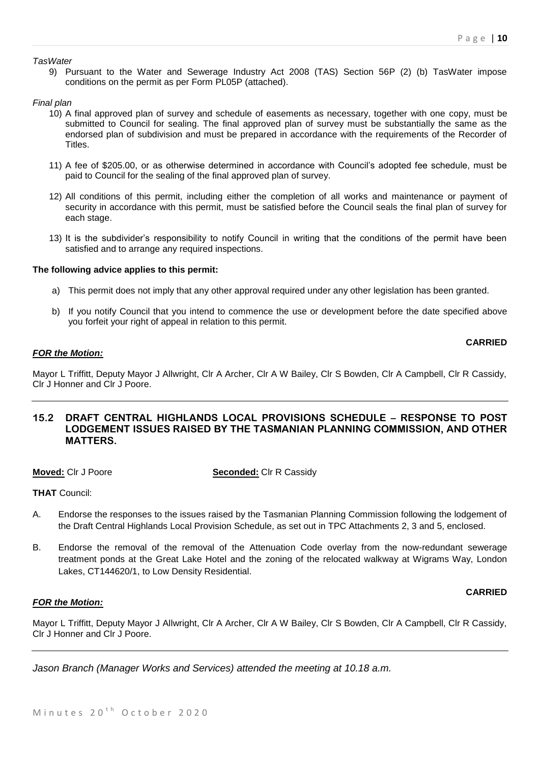*TasWater*

9) Pursuant to the Water and Sewerage Industry Act 2008 (TAS) Section 56P (2) (b) TasWater impose conditions on the permit as per Form PL05P (attached).

*Final plan*

- 10) A final approved plan of survey and schedule of easements as necessary, together with one copy, must be submitted to Council for sealing. The final approved plan of survey must be substantially the same as the endorsed plan of subdivision and must be prepared in accordance with the requirements of the Recorder of Titles.
- 11) A fee of \$205.00, or as otherwise determined in accordance with Council's adopted fee schedule, must be paid to Council for the sealing of the final approved plan of survey.
- 12) All conditions of this permit, including either the completion of all works and maintenance or payment of security in accordance with this permit, must be satisfied before the Council seals the final plan of survey for each stage.
- 13) It is the subdivider's responsibility to notify Council in writing that the conditions of the permit have been satisfied and to arrange any required inspections.

#### **The following advice applies to this permit:**

- a) This permit does not imply that any other approval required under any other legislation has been granted.
- b) If you notify Council that you intend to commence the use or development before the date specified above you forfeit your right of appeal in relation to this permit.

#### **CARRIED**

#### *FOR the Motion:*

Mayor L Triffitt, Deputy Mayor J Allwright, Clr A Archer, Clr A W Bailey, Clr S Bowden, Clr A Campbell, Clr R Cassidy, Clr J Honner and Clr J Poore.

#### **15.2 DRAFT CENTRAL HIGHLANDS LOCAL PROVISIONS SCHEDULE – RESPONSE TO POST LODGEMENT ISSUES RAISED BY THE TASMANIAN PLANNING COMMISSION, AND OTHER MATTERS.**

**Moved:** Clr J Poore **Seconded:** Clr R Cassidy

**THAT** Council:

- A. Endorse the responses to the issues raised by the Tasmanian Planning Commission following the lodgement of the Draft Central Highlands Local Provision Schedule, as set out in TPC Attachments 2, 3 and 5, enclosed.
- B. Endorse the removal of the removal of the Attenuation Code overlay from the now-redundant sewerage treatment ponds at the Great Lake Hotel and the zoning of the relocated walkway at Wigrams Way, London Lakes, CT144620/1, to Low Density Residential.

#### **CARRIED**

#### *FOR the Motion:*

Mayor L Triffitt, Deputy Mayor J Allwright, Clr A Archer, Clr A W Bailey, Clr S Bowden, Clr A Campbell, Clr R Cassidy, Clr J Honner and Clr J Poore.

*Jason Branch (Manager Works and Services) attended the meeting at 10.18 a.m.*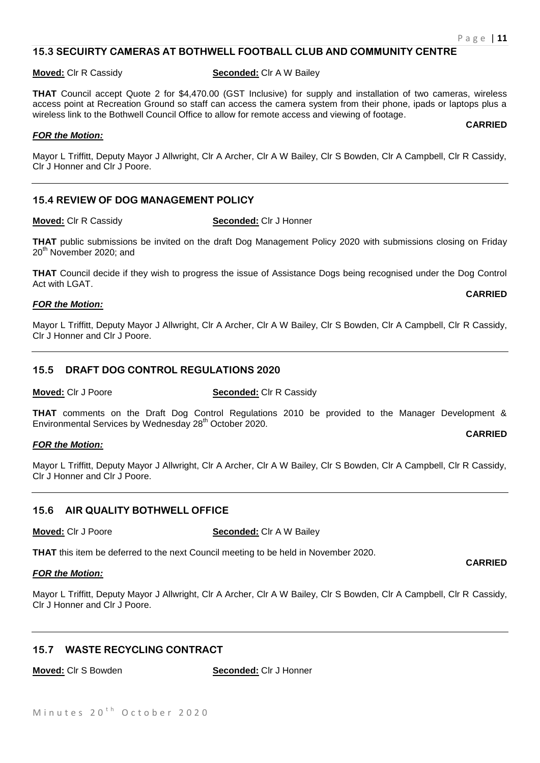#### **15.3 SECUIRTY CAMERAS AT BOTHWELL FOOTBALL CLUB AND COMMUNITY CENTRE**

**Moved:** Clr R Cassidy **Seconded:** Clr A W Bailey

**THAT** Council accept Quote 2 for \$4,470.00 (GST Inclusive) for supply and installation of two cameras, wireless access point at Recreation Ground so staff can access the camera system from their phone, ipads or laptops plus a wireless link to the Bothwell Council Office to allow for remote access and viewing of footage.

#### *FOR the Motion:*

Mayor L Triffitt, Deputy Mayor J Allwright, Clr A Archer, Clr A W Bailey, Clr S Bowden, Clr A Campbell, Clr R Cassidy, Clr J Honner and Clr J Poore.

#### **15.4 REVIEW OF DOG MANAGEMENT POLICY**

**Moved:** Clr R Cassidy **Seconded:** Clr J Honner

**THAT** public submissions be invited on the draft Dog Management Policy 2020 with submissions closing on Friday 20<sup>th</sup> November 2020; and

**THAT** Council decide if they wish to progress the issue of Assistance Dogs being recognised under the Dog Control Act with LGAT. **CARRIED**

#### *FOR the Motion:*

Mayor L Triffitt, Deputy Mayor J Allwright, Clr A Archer, Clr A W Bailey, Clr S Bowden, Clr A Campbell, Clr R Cassidy, Clr J Honner and Clr J Poore.

#### **15.5 DRAFT DOG CONTROL REGULATIONS 2020**

**Moved:** Clr J Poore **Seconded:** Clr R Cassidy

**THAT** comments on the Draft Dog Control Regulations 2010 be provided to the Manager Development & Environmental Services by Wednesday 28<sup>th</sup> October 2020.

#### *FOR the Motion:*

Mayor L Triffitt, Deputy Mayor J Allwright, Clr A Archer, Clr A W Bailey, Clr S Bowden, Clr A Campbell, Clr R Cassidy, Clr J Honner and Clr J Poore.

# **15.6 AIR QUALITY BOTHWELL OFFICE**

**Moved:** Clr J Poore **Seconded:** Clr A W Bailey

**THAT** this item be deferred to the next Council meeting to be held in November 2020.

#### *FOR the Motion:*

Mayor L Triffitt, Deputy Mayor J Allwright, Clr A Archer, Clr A W Bailey, Clr S Bowden, Clr A Campbell, Clr R Cassidy, Clr J Honner and Clr J Poore.

#### **15.7 WASTE RECYCLING CONTRACT**

**Moved:** Clr S Bowden **Seconded:** Clr J Honner

# **CARRIED**

**CARRIED**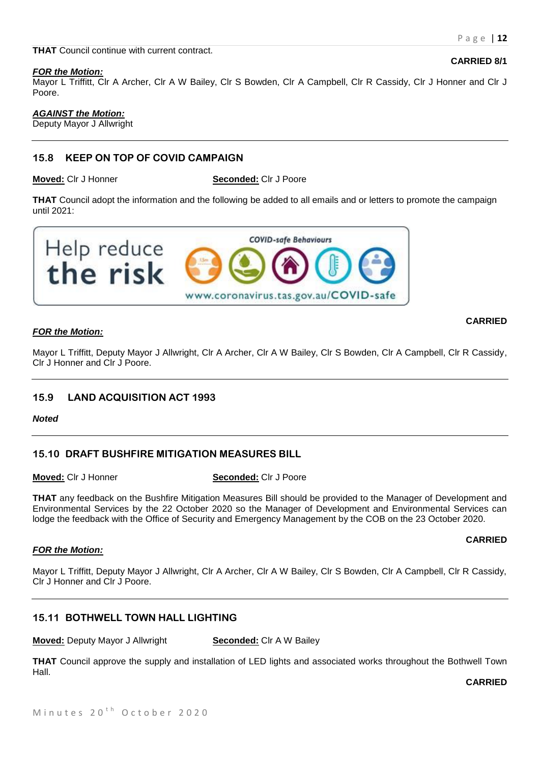Mayor L Triffitt, Clr A Archer, Clr A W Bailey, Clr S Bowden, Clr A Campbell, Clr R Cassidy, Clr J Honner and Clr J Poore.

#### *AGAINST the Motion:*

Deputy Mayor J Allwright

# **15.8 KEEP ON TOP OF COVID CAMPAIGN**

**Moved:** Clr J Honner **Seconded:** Clr J Poore

**THAT** Council adopt the information and the following be added to all emails and or letters to promote the campaign until 2021:



#### *FOR the Motion:*

Mayor L Triffitt, Deputy Mayor J Allwright, Clr A Archer, Clr A W Bailey, Clr S Bowden, Clr A Campbell, Clr R Cassidy, Clr J Honner and Clr J Poore.

# **15.9 LAND ACQUISITION ACT 1993**

*Noted*

# **15.10 DRAFT BUSHFIRE MITIGATION MEASURES BILL**

**Moved:** Clr J Honner **Seconded:** Clr J Poore

**THAT** any feedback on the Bushfire Mitigation Measures Bill should be provided to the Manager of Development and Environmental Services by the 22 October 2020 so the Manager of Development and Environmental Services can lodge the feedback with the Office of Security and Emergency Management by the COB on the 23 October 2020.

#### *FOR the Motion:*

Mayor L Triffitt, Deputy Mayor J Allwright, Clr A Archer, Clr A W Bailey, Clr S Bowden, Clr A Campbell, Clr R Cassidy, Clr J Honner and Clr J Poore.

# **15.11 BOTHWELL TOWN HALL LIGHTING**

**Moved:** Deputy Mayor J Allwright **Seconded:** Clr A W Bailey

**THAT** Council approve the supply and installation of LED lights and associated works throughout the Bothwell Town Hall.

**CARRIED**

**CARRIED**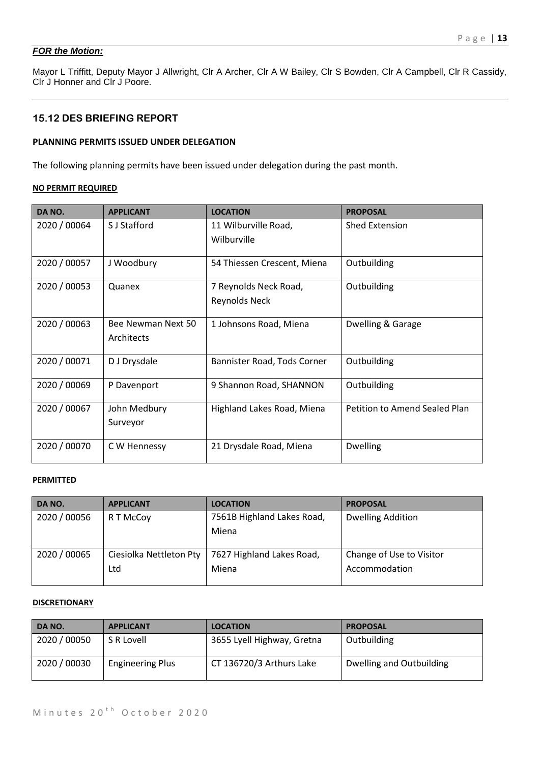# *FOR the Motion:*

Mayor L Triffitt, Deputy Mayor J Allwright, Clr A Archer, Clr A W Bailey, Clr S Bowden, Clr A Campbell, Clr R Cassidy, Clr J Honner and Clr J Poore.

# **15.12 DES BRIEFING REPORT**

# **PLANNING PERMITS ISSUED UNDER DELEGATION**

The following planning permits have been issued under delegation during the past month.

#### **NO PERMIT REQUIRED**

| DA NO.       | <b>APPLICANT</b>   | <b>LOCATION</b>             | <b>PROPOSAL</b>               |
|--------------|--------------------|-----------------------------|-------------------------------|
| 2020 / 00064 | S J Stafford       | 11 Wilburville Road,        | <b>Shed Extension</b>         |
|              |                    | Wilburville                 |                               |
| 2020 / 00057 | J Woodbury         | 54 Thiessen Crescent, Miena | Outbuilding                   |
| 2020 / 00053 | Quanex             | 7 Reynolds Neck Road,       | Outbuilding                   |
|              |                    | <b>Reynolds Neck</b>        |                               |
| 2020 / 00063 | Bee Newman Next 50 | 1 Johnsons Road, Miena      | Dwelling & Garage             |
|              | Architects         |                             |                               |
| 2020 / 00071 | D J Drysdale       | Bannister Road, Tods Corner | Outbuilding                   |
| 2020 / 00069 | P Davenport        | 9 Shannon Road, SHANNON     | Outbuilding                   |
| 2020 / 00067 | John Medbury       | Highland Lakes Road, Miena  | Petition to Amend Sealed Plan |
|              | Surveyor           |                             |                               |
| 2020 / 00070 | C W Hennessy       | 21 Drysdale Road, Miena     | <b>Dwelling</b>               |

#### **PERMITTED**

| DA NO.       | <b>APPLICANT</b>        | <b>LOCATION</b>            | <b>PROPOSAL</b>          |
|--------------|-------------------------|----------------------------|--------------------------|
| 2020 / 00056 | R T McCoy               | 7561B Highland Lakes Road, | <b>Dwelling Addition</b> |
|              |                         | Miena                      |                          |
|              |                         |                            |                          |
| 2020 / 00065 | Ciesiolka Nettleton Pty | 7627 Highland Lakes Road,  | Change of Use to Visitor |
|              | Ltd                     | Miena                      | Accommodation            |
|              |                         |                            |                          |

#### **DISCRETIONARY**

| DA NO.       | <b>APPLICANT</b>        | <b>LOCATION</b>            | <b>PROPOSAL</b>          |
|--------------|-------------------------|----------------------------|--------------------------|
| 2020 / 00050 | S R Lovell              | 3655 Lyell Highway, Gretna | Outbuilding              |
| 2020 / 00030 | <b>Engineering Plus</b> | CT 136720/3 Arthurs Lake   | Dwelling and Outbuilding |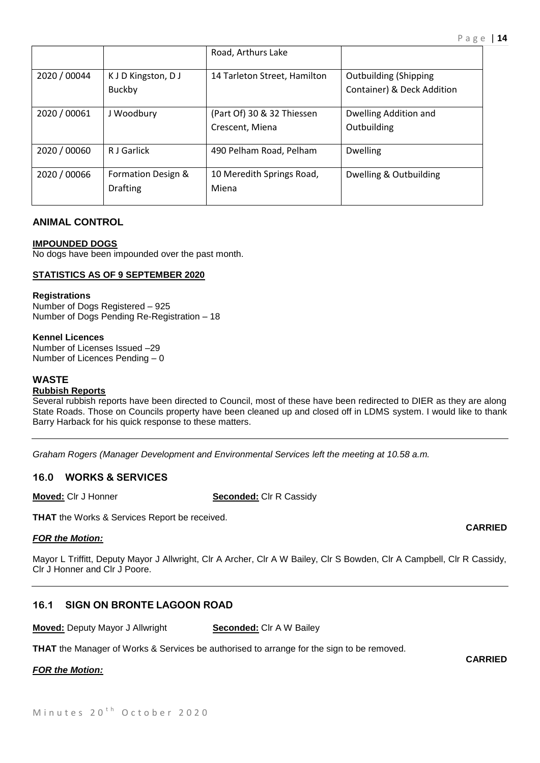| Number of Licenses Issued -29                                                                                       |  |
|---------------------------------------------------------------------------------------------------------------------|--|
| Number of Licences Pending – 0                                                                                      |  |
| <b>WASTE</b>                                                                                                        |  |
| <b>Rubbish Reports</b>                                                                                              |  |
| Several rubbish reports have been directed to Council, most of these have been redirected to DIER as they are along |  |
| State Roads. Those on Councils property have been cleaned up and closed off in LDMS system. I would like to thank   |  |
| Barry Harback for his quick response to these matters.                                                              |  |
|                                                                                                                     |  |
| Graham Rogers (Manager Development and Environmental Services left the meeting at 10.58 a.m.                        |  |

#### **16.0 WORKS & SERVICES**

**Moved:** Clr J Honner **Seconded:** Clr R Cassidy

**THAT** the Works & Services Report be received.

#### *FOR the Motion:*

Mayor L Triffitt, Deputy Mayor J Allwright, Clr A Archer, Clr A W Bailey, Clr S Bowden, Clr A Campbell, Clr R Cassidy, Clr J Honner and Clr J Poore.

# **16.1 SIGN ON BRONTE LAGOON ROAD**

**Moved:** Deputy Mayor J Allwright **Seconded:** Clr A W Bailey

**THAT** the Manager of Works & Services be authorised to arrange for the sign to be removed.

# *FOR the Motion:*

**CARRIED**

# **CARRIED**

2020 / 00044 K J D Kingston, D J Buckby 14 Tarleton Street, Hamilton | Outbuilding (Shipping Container) & Deck Addition 2020 / 00061 J Woodbury (Part Of) 30 & 32 Thiessen Crescent, Miena Dwelling Addition and **Outbuilding** 2020 / 00060 R J Garlick | 490 Pelham Road, Pelham | Dwelling 2020 / 00066 Formation Design & Drafting 10 Meredith Springs Road, Miena Dwelling & Outbuilding

Road, Arthurs Lake

### **ANIMAL CONTROL**

#### **IMPOUNDED DOGS**

No dogs have been impounded over the past month.

## **STATISTICS AS OF 9 SEPTEMBER 2020**

#### **Registrations**

Number of Dogs Registered – 925 Number of Dogs Pending Re-Registration – 18

#### **Kennel Licences**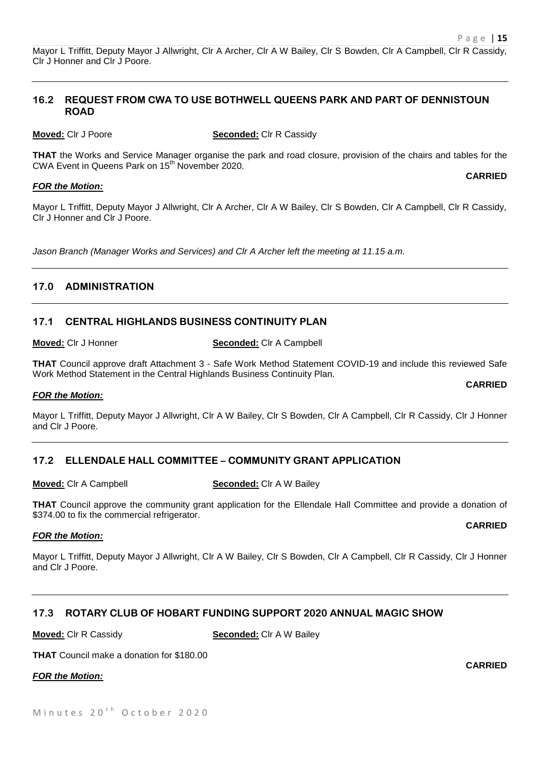Mayor L Triffitt, Deputy Mayor J Allwright, Clr A Archer, Clr A W Bailey, Clr S Bowden, Clr A Campbell, Clr R Cassidy, Clr J Honner and Clr J Poore.

#### **16.2 REQUEST FROM CWA TO USE BOTHWELL QUEENS PARK AND PART OF DENNISTOUN ROAD**

**Moved:** Clr J Poore **Seconded:** Clr R Cassidy

**THAT** the Works and Service Manager organise the park and road closure, provision of the chairs and tables for the CWA Event in Queens Park on 15<sup>th</sup> November 2020. **CARRIED**

#### *FOR the Motion:*

Mayor L Triffitt, Deputy Mayor J Allwright, Clr A Archer, Clr A W Bailey, Clr S Bowden, Clr A Campbell, Clr R Cassidy, Clr J Honner and Clr J Poore.

*Jason Branch (Manager Works and Services) and Clr A Archer left the meeting at 11.15 a.m.* 

# **17.0 ADMINISTRATION**

# **17.1 CENTRAL HIGHLANDS BUSINESS CONTINUITY PLAN**

**Moved:** Clr J Honner **Seconded:** Clr A Campbell

**THAT** Council approve draft Attachment 3 - Safe Work Method Statement COVID-19 and include this reviewed Safe Work Method Statement in the Central Highlands Business Continuity Plan.

#### *FOR the Motion:*

Mayor L Triffitt, Deputy Mayor J Allwright, Clr A W Bailey, Clr S Bowden, Clr A Campbell, Clr R Cassidy, Clr J Honner and Clr J Poore.

# **17.2 ELLENDALE HALL COMMITTEE – COMMUNITY GRANT APPLICATION**

**Moved:** Clr A Campbell **Seconded:** Clr A W Bailey

**THAT** Council approve the community grant application for the Ellendale Hall Committee and provide a donation of \$374.00 to fix the commercial refrigerator.

#### *FOR the Motion:*

Mayor L Triffitt, Deputy Mayor J Allwright, Clr A W Bailey, Clr S Bowden, Clr A Campbell, Clr R Cassidy, Clr J Honner and Clr J Poore.

# **17.3 ROTARY CLUB OF HOBART FUNDING SUPPORT 2020 ANNUAL MAGIC SHOW**

**Moved:** Clr R Cassidy **Seconded:** Clr A W Bailey

**THAT** Council make a donation for \$180.00

*FOR the Motion:*

**CARRIED**

#### **CARRIED**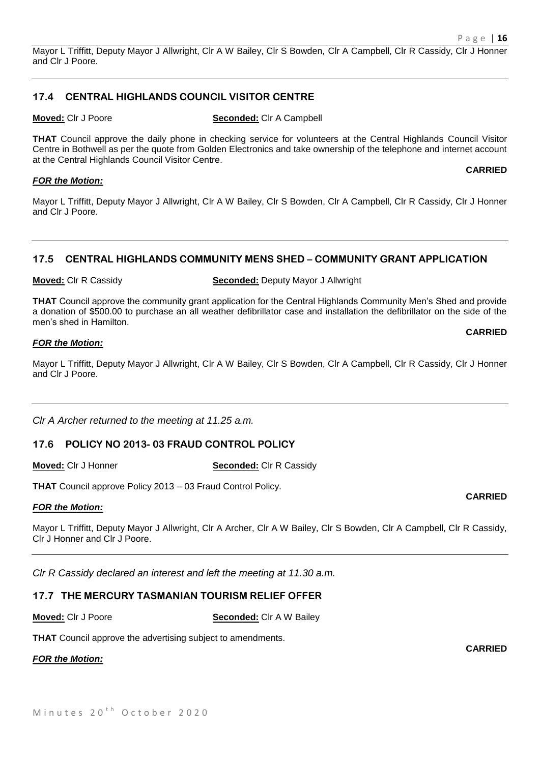## **17.4 CENTRAL HIGHLANDS COUNCIL VISITOR CENTRE**

**Moved:** Clr J Poore **Seconded:** Clr A Campbell

**THAT** Council approve the daily phone in checking service for volunteers at the Central Highlands Council Visitor Centre in Bothwell as per the quote from Golden Electronics and take ownership of the telephone and internet account at the Central Highlands Council Visitor Centre.

#### *FOR the Motion:*

Mayor L Triffitt, Deputy Mayor J Allwright, Clr A W Bailey, Clr S Bowden, Clr A Campbell, Clr R Cassidy, Clr J Honner and Clr J Poore.

## **17.5 CENTRAL HIGHLANDS COMMUNITY MENS SHED – COMMUNITY GRANT APPLICATION**

#### **Moved:** Clr R Cassidy **Seconded:** Deputy Mayor J Allwright

**THAT** Council approve the community grant application for the Central Highlands Community Men's Shed and provide a donation of \$500.00 to purchase an all weather defibrillator case and installation the defibrillator on the side of the men's shed in Hamilton.

#### *FOR the Motion:*

Mayor L Triffitt, Deputy Mayor J Allwright, Clr A W Bailey, Clr S Bowden, Clr A Campbell, Clr R Cassidy, Clr J Honner and Clr J Poore.

*Clr A Archer returned to the meeting at 11.25 a.m.*

# **17.6 POLICY NO 2013- 03 FRAUD CONTROL POLICY**

**Moved:** Clr J Honner **Seconded:** Clr R Cassidy

**THAT** Council approve Policy 2013 – 03 Fraud Control Policy.

#### *FOR the Motion:*

Mayor L Triffitt, Deputy Mayor J Allwright, Clr A Archer, Clr A W Bailey, Clr S Bowden, Clr A Campbell, Clr R Cassidy, Clr J Honner and Clr J Poore.

*Clr R Cassidy declared an interest and left the meeting at 11.30 a.m.*

#### **17.7 THE MERCURY TASMANIAN TOURISM RELIEF OFFER**

**Moved:** Clr J Poore **Seconded:** Clr A W Bailey

**THAT** Council approve the advertising subject to amendments.

#### *FOR the Motion:*

**CARRIED**



**CARRIED**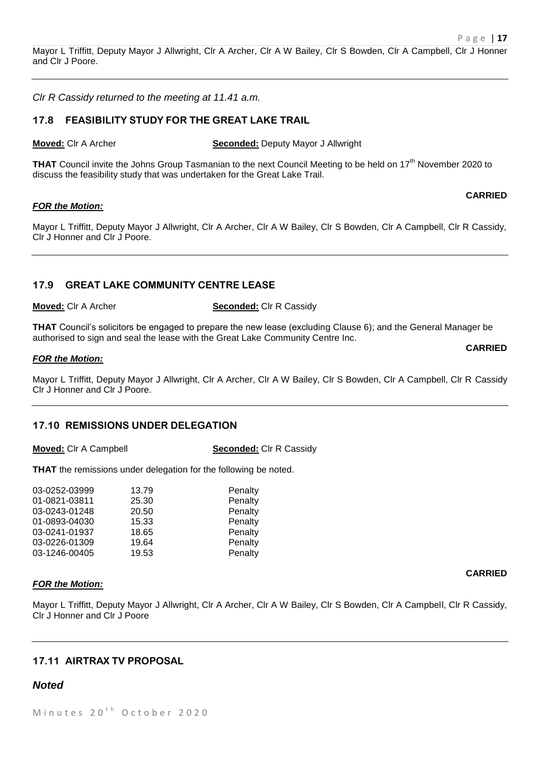*Clr R Cassidy returned to the meeting at 11.41 a.m.*

#### **17.8 FEASIBILITY STUDY FOR THE GREAT LAKE TRAIL**

and Clr J Poore.

**Moved:** Clr A Archer **Seconded:** Deputy Mayor J Allwright

**THAT** Council invite the Johns Group Tasmanian to the next Council Meeting to be held on 17<sup>th</sup> November 2020 to discuss the feasibility study that was undertaken for the Great Lake Trail.

#### *FOR the Motion:*

Mayor L Triffitt, Deputy Mayor J Allwright, Clr A Archer, Clr A W Bailey, Clr S Bowden, Clr A Campbell, Clr R Cassidy, Clr J Honner and Clr J Poore.

## **17.9 GREAT LAKE COMMUNITY CENTRE LEASE**

**Moved:** Clr A Archer **Seconded:** Clr R Cassidy

**THAT** Council's solicitors be engaged to prepare the new lease (excluding Clause 6); and the General Manager be authorised to sign and seal the lease with the Great Lake Community Centre Inc.

#### *FOR the Motion:*

Mayor L Triffitt, Deputy Mayor J Allwright, Clr A Archer, Clr A W Bailey, Clr S Bowden, Clr A Campbell, Clr R Cassidy Clr J Honner and Clr J Poore.

#### **17.10 REMISSIONS UNDER DELEGATION**

**Moved:** Clr A Campbell **Seconded:** Clr R Cassidy

**THAT** the remissions under delegation for the following be noted.

| 13.79 | Penalty |
|-------|---------|
| 25.30 | Penalty |
| 20.50 | Penalty |
| 15.33 | Penalty |
| 18.65 | Penalty |
| 19.64 | Penalty |
| 19.53 | Penalty |
|       |         |

#### *FOR the Motion:*

Mayor L Triffitt, Deputy Mayor J Allwright, Clr A Archer, Clr A W Bailey, Clr S Bowden, Clr A Campbell, Clr R Cassidy, Clr J Honner and Clr J Poore

# **17.11 AIRTRAX TV PROPOSAL**

# *Noted*

**CARRIED**

**CARRIED**